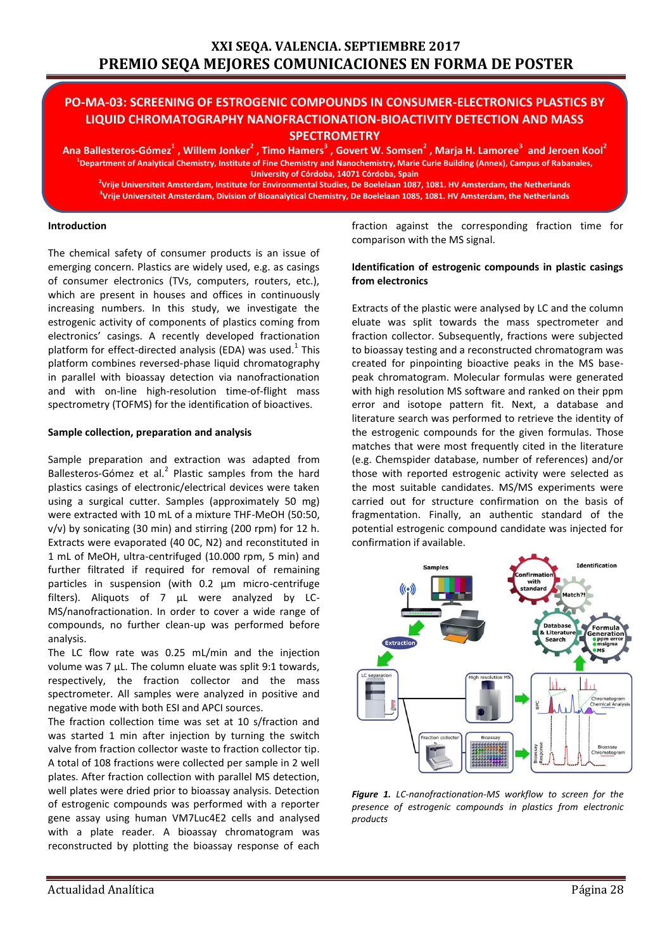# **PO-MA-03: SCREENING OF ESTROGENIC COMPOUNDS IN CONSUMER-ELECTRONICS PLASTICS BY LIQUID CHROMATOGRAPHY NANOFRACTIONATION-BIOACTIVITY DETECTION AND MASS SPECTROMETRY**

**Ana Ballesteros-Gómez<sup>1</sup> , Willem Jonker<sup>2</sup> , Timo Hamers<sup>3</sup> , Govert W. Somsen<sup>2</sup> , Marja H. Lamoree<sup>3</sup> and Jeroen Kool<sup>2</sup> 1 Department of Analytical Chemistry, Institute of Fine Chemistry and Nanochemistry, Marie Curie Building (Annex), Campus of Rabanales, University of Córdoba, 14071 Córdoba, Spain**

**2 Vrije Universiteit Amsterdam, Institute for Environmental Studies, De Boelelaan 1087, 1081. HV Amsterdam, the Netherlands 3 Vrije Universiteit Amsterdam, Division of Bioanalytical Chemistry, De Boelelaan 1085, 1081. HV Amsterdam, the Netherlands**

#### **Introduction**

The chemical safety of consumer products is an issue of emerging concern. Plastics are widely used, e.g. as casings of consumer electronics (TVs, computers, routers, etc.), which are present in houses and offices in continuously increasing numbers. In this study, we investigate the estrogenic activity of components of plastics coming from electronics' casings. A recently developed fractionation platform for effect-directed analysis (EDA) was used.<sup>1</sup> This platform combines reversed-phase liquid chromatography in parallel with bioassay detection via nanofractionation and with on-line high-resolution time-of-flight mass spectrometry (TOFMS) for the identification of bioactives.

#### **Sample collection, preparation and analysis**

Sample preparation and extraction was adapted from Ballesteros-Gómez et al.<sup>2</sup> Plastic samples from the hard plastics casings of electronic/electrical devices were taken using a surgical cutter. Samples (approximately 50 mg) were extracted with 10 mL of a mixture THF-MeOH (50:50, v/v) by sonicating (30 min) and stirring (200 rpm) for 12 h. Extracts were evaporated (40 0C, N2) and reconstituted in 1 mL of MeOH, ultra-centrifuged (10.000 rpm, 5 min) and further filtrated if required for removal of remaining particles in suspension (with 0.2 μm micro-centrifuge filters). Aliquots of 7 µL were analyzed by LC-MS/nanofractionation. In order to cover a wide range of compounds, no further clean-up was performed before analysis.

The LC flow rate was 0.25 mL/min and the injection volume was 7 µL. The column eluate was split 9:1 towards, respectively, the fraction collector and the mass spectrometer. All samples were analyzed in positive and negative mode with both ESI and APCI sources.

The fraction collection time was set at 10 s/fraction and was started 1 min after injection by turning the switch valve from fraction collector waste to fraction collector tip. A total of 108 fractions were collected per sample in 2 well plates. After fraction collection with parallel MS detection, well plates were dried prior to bioassay analysis. Detection of estrogenic compounds was performed with a reporter gene assay using human VM7Luc4E2 cells and analysed with a plate reader. A bioassay chromatogram was reconstructed by plotting the bioassay response of each fraction against the corresponding fraction time for comparison with the MS signal.

### **Identification of estrogenic compounds in plastic casings from electronics**

Extracts of the plastic were analysed by LC and the column eluate was split towards the mass spectrometer and fraction collector. Subsequently, fractions were subjected to bioassay testing and a reconstructed chromatogram was created for pinpointing bioactive peaks in the MS basepeak chromatogram. Molecular formulas were generated with high resolution MS software and ranked on their ppm error and isotope pattern fit. Next, a database and literature search was performed to retrieve the identity of the estrogenic compounds for the given formulas. Those matches that were most frequently cited in the literature (e.g. Chemspider database, number of references) and/or those with reported estrogenic activity were selected as the most suitable candidates. MS/MS experiments were carried out for structure confirmation on the basis of fragmentation. Finally, an authentic standard of the potential estrogenic compound candidate was injected for confirmation if available.



*Figure 1. LC-nanofractionation-MS workflow to screen for the presence of estrogenic compounds in plastics from electronic products*